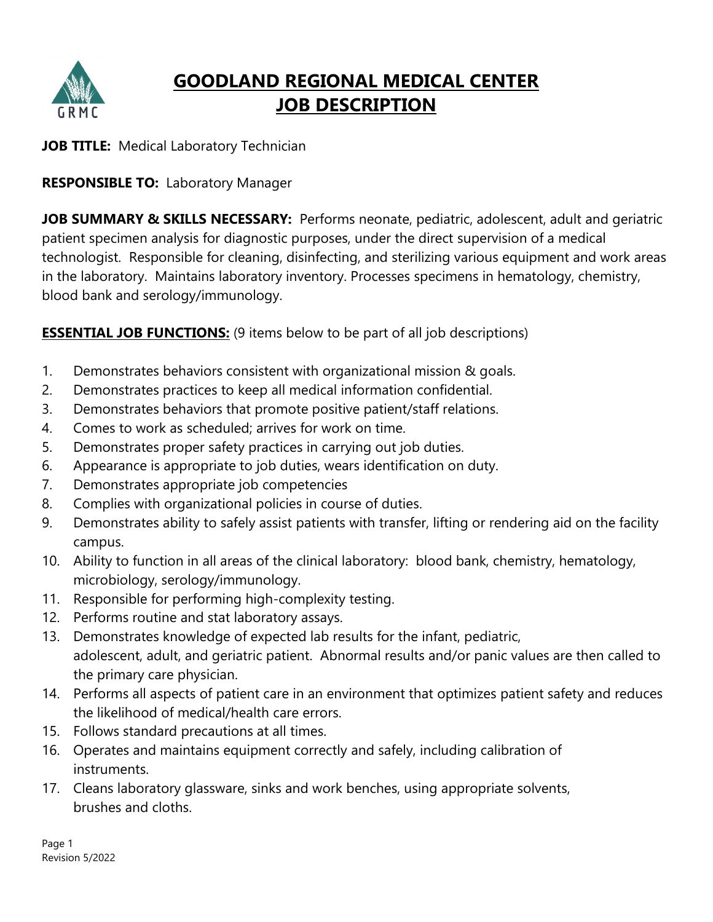

# **GOODLAND REGIONAL MEDICAL CENTER JOB DESCRIPTION**

# **JOB TITLE: Medical Laboratory Technician**

# **RESPONSIBLE TO:** Laboratory Manager

**JOB SUMMARY & SKILLS NECESSARY:** Performs neonate, pediatric, adolescent, adult and geriatric patient specimen analysis for diagnostic purposes, under the direct supervision of a medical technologist. Responsible for cleaning, disinfecting, and sterilizing various equipment and work areas in the laboratory. Maintains laboratory inventory. Processes specimens in hematology, chemistry, blood bank and serology/immunology.

# **ESSENTIAL JOB FUNCTIONS:** (9 items below to be part of all job descriptions)

- 1. Demonstrates behaviors consistent with organizational mission & goals.
- 2. Demonstrates practices to keep all medical information confidential.
- 3. Demonstrates behaviors that promote positive patient/staff relations.
- 4. Comes to work as scheduled; arrives for work on time.
- 5. Demonstrates proper safety practices in carrying out job duties.
- 6. Appearance is appropriate to job duties, wears identification on duty.
- 7. Demonstrates appropriate job competencies
- 8. Complies with organizational policies in course of duties.
- 9. Demonstrates ability to safely assist patients with transfer, lifting or rendering aid on the facility campus.
- 10. Ability to function in all areas of the clinical laboratory: blood bank, chemistry, hematology, microbiology, serology/immunology.
- 11. Responsible for performing high-complexity testing.
- 12. Performs routine and stat laboratory assays.
- 13. Demonstrates knowledge of expected lab results for the infant, pediatric, adolescent, adult, and geriatric patient. Abnormal results and/or panic values are then called to the primary care physician.
- 14. Performs all aspects of patient care in an environment that optimizes patient safety and reduces the likelihood of medical/health care errors.
- 15. Follows standard precautions at all times.
- 16. Operates and maintains equipment correctly and safely, including calibration of instruments.
- 17. Cleans laboratory glassware, sinks and work benches, using appropriate solvents, brushes and cloths.

Page 1 Revision 5/2022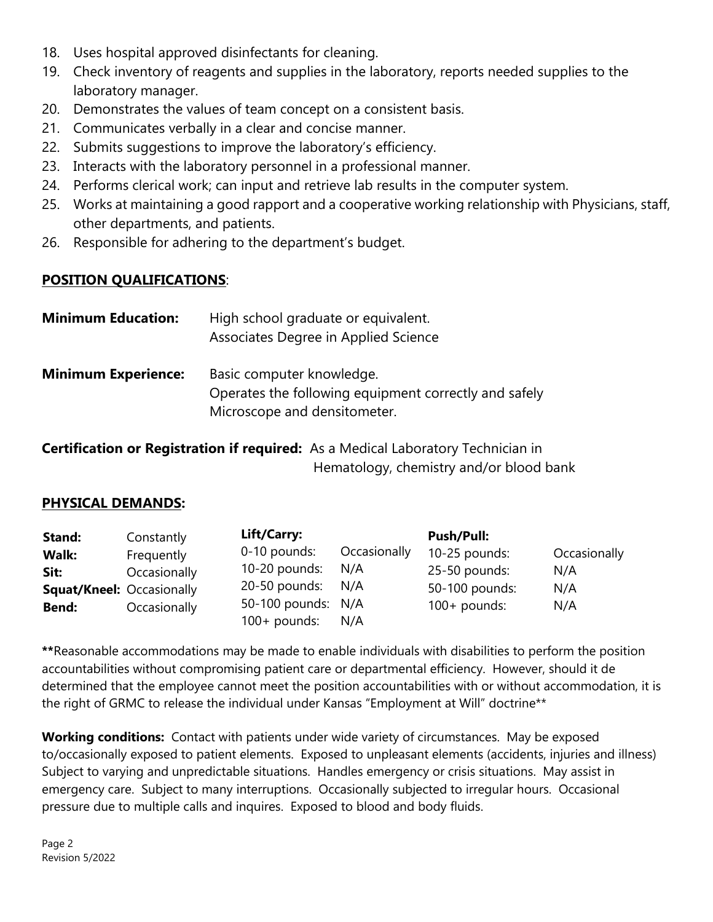- 18. Uses hospital approved disinfectants for cleaning.
- 19. Check inventory of reagents and supplies in the laboratory, reports needed supplies to the laboratory manager.
- 20. Demonstrates the values of team concept on a consistent basis.
- 21. Communicates verbally in a clear and concise manner.
- 22. Submits suggestions to improve the laboratory's efficiency.
- 23. Interacts with the laboratory personnel in a professional manner.
- 24. Performs clerical work; can input and retrieve lab results in the computer system.
- 25. Works at maintaining a good rapport and a cooperative working relationship with Physicians, staff, other departments, and patients.
- 26. Responsible for adhering to the department's budget.

## **POSITION QUALIFICATIONS**:

| <b>Minimum Education:</b>  | High school graduate or equivalent.<br>Associates Degree in Applied Science                                        |
|----------------------------|--------------------------------------------------------------------------------------------------------------------|
| <b>Minimum Experience:</b> | Basic computer knowledge.<br>Operates the following equipment correctly and safely<br>Microscope and densitometer. |

**Certification or Registration if required:** As a Medical Laboratory Technician in Hematology, chemistry and/or blood bank

### **PHYSICAL DEMANDS:**

| Stand:                           | Constantly   | Lift/Carry:         |              | <b>Push/Pull:</b> |              |
|----------------------------------|--------------|---------------------|--------------|-------------------|--------------|
| Walk:                            | Frequently   | $0-10$ pounds:      | Occasionally | 10-25 pounds:     | Occasionally |
| Sit:                             | Occasionally | $10-20$ pounds:     | N/A          | 25-50 pounds:     | N/A          |
| <b>Squat/Kneel: Occasionally</b> |              | 20-50 pounds: $N/A$ |              | 50-100 pounds:    | N/A          |
| Bend:                            | Occasionally | 50-100 pounds: N/A  |              | $100+$ pounds:    | N/A          |
|                                  |              | $100+$ pounds: N/A  |              |                   |              |

**\*\***Reasonable accommodations may be made to enable individuals with disabilities to perform the position accountabilities without compromising patient care or departmental efficiency. However, should it de determined that the employee cannot meet the position accountabilities with or without accommodation, it is the right of GRMC to release the individual under Kansas "Employment at Will" doctrine\*\*

**Working conditions:** Contact with patients under wide variety of circumstances. May be exposed to/occasionally exposed to patient elements. Exposed to unpleasant elements (accidents, injuries and illness) Subject to varying and unpredictable situations. Handles emergency or crisis situations. May assist in emergency care. Subject to many interruptions. Occasionally subjected to irregular hours. Occasional pressure due to multiple calls and inquires. Exposed to blood and body fluids.

Page 2 Revision 5/2022